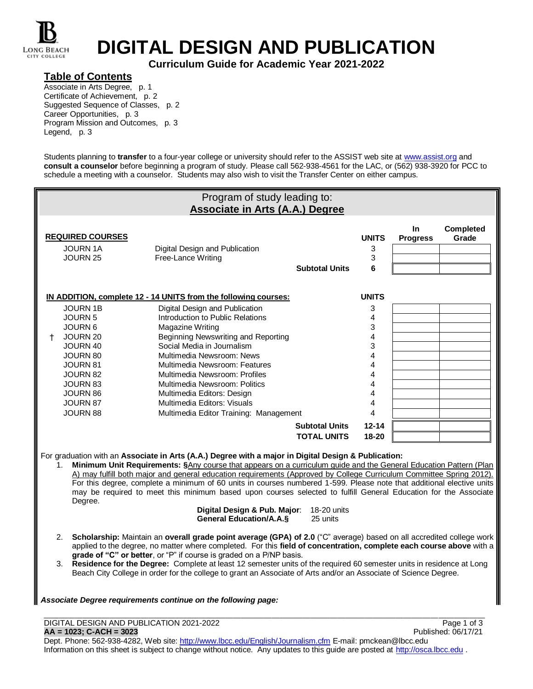

# **DIGITAL DESIGN AND PUBLICATION**

**Curriculum Guide for Academic Year 2021-2022**

### **Table of Contents**

Associate in Arts Degree, p. 1 Certificate of Achievement, p. 2 Suggested Sequence of Classes, p. 2 Career Opportunities, p. 3 Program Mission and Outcomes, p. 3 Legend, p. 3

Students planning to *transfer* to a four-year college or university should refer to the ASSIST web site at [www.assist.org](http://www.assist.org/) and **consult a counselor** before beginning a program of study. Please call 562-938-4561 for the LAC, or (562) 938-3920 for PCC to schedule a meeting with a counselor. Students may also wish to visit the Transfer Center on either campus.

|               |                                                                                                                                                                                                           | Program of study leading to:<br><b>Associate in Arts (A.A.) Degree</b>                                                                                                                                                                                                                                                                                                                                                                                                                                                                                                                                                                                                                                                                                                                  |                                             |                                                                          |                       |                    |
|---------------|-----------------------------------------------------------------------------------------------------------------------------------------------------------------------------------------------------------|-----------------------------------------------------------------------------------------------------------------------------------------------------------------------------------------------------------------------------------------------------------------------------------------------------------------------------------------------------------------------------------------------------------------------------------------------------------------------------------------------------------------------------------------------------------------------------------------------------------------------------------------------------------------------------------------------------------------------------------------------------------------------------------------|---------------------------------------------|--------------------------------------------------------------------------|-----------------------|--------------------|
|               | <b>REQUIRED COURSES</b><br><b>JOURN 1A</b><br>JOURN 25                                                                                                                                                    | Digital Design and Publication<br>Free-Lance Writing                                                                                                                                                                                                                                                                                                                                                                                                                                                                                                                                                                                                                                                                                                                                    | <b>Subtotal Units</b>                       | <b>UNITS</b><br>3<br>3<br>6                                              | In<br><b>Progress</b> | Completed<br>Grade |
| t.            | <b>JOURN 1B</b><br><b>JOURN 5</b><br><b>JOURN 6</b><br>JOURN 20<br>JOURN 40<br>JOURN 80<br><b>JOURN 81</b><br><b>JOURN 82</b><br><b>JOURN 83</b><br><b>JOURN 86</b><br><b>JOURN 87</b><br><b>JOURN 88</b> | IN ADDITION, complete 12 - 14 UNITS from the following courses:<br>Digital Design and Publication<br>Introduction to Public Relations<br>Magazine Writing<br>Beginning Newswriting and Reporting<br>Social Media in Journalism<br>Multimedia Newsroom: News<br>Multimedia Newsroom: Features<br>Multimedia Newsroom: Profiles<br>Multimedia Newsroom: Politics<br>Multimedia Editors: Design<br>Multimedia Editors: Visuals<br>Multimedia Editor Training: Management                                                                                                                                                                                                                                                                                                                   |                                             | <b>UNITS</b><br>3<br>4<br>3<br>4<br>3<br>4<br>4<br>4<br>4<br>4<br>4<br>4 |                       |                    |
|               |                                                                                                                                                                                                           |                                                                                                                                                                                                                                                                                                                                                                                                                                                                                                                                                                                                                                                                                                                                                                                         | <b>Subtotal Units</b><br><b>TOTAL UNITS</b> | $12 - 14$<br>18-20                                                       |                       |                    |
| $1_{-}$<br>2. | Degree.                                                                                                                                                                                                   | For graduation with an Associate in Arts (A.A.) Degree with a major in Digital Design & Publication:<br>Minimum Unit Requirements: §Any course that appears on a curriculum guide and the General Education Pattern (Plan<br>A) may fulfill both major and general education requirements (Approved by College Curriculum Committee Spring 2012).<br>For this degree, complete a minimum of 60 units in courses numbered 1-599. Please note that additional elective units<br>may be required to meet this minimum based upon courses selected to fulfill General Education for the Associate<br>Digital Design & Pub. Major:<br><b>General Education/A.A.S</b><br>Scholarship: Maintain an overall grade point average (GPA) of 2.0 ("C" average) based on all accredited college work | 18-20 units<br>25 units                     |                                                                          |                       |                    |

- applied to the degree, no matter where completed. For this **field of concentration, complete each course above** with a **grade of "C" or better**, or "P" if course is graded on a P/NP basis.
- 3. **Residence for the Degree:** Complete at least 12 semester units of the required 60 semester units in residence at Long Beach City College in order for the college to grant an Associate of Arts and/or an Associate of Science Degree.

#### *Associate Degree requirements continue on the following page:*

DIGITAL DESIGN AND PUBLICATION 2021-2022<br>
AA = 1023; C-ACH = 3023<br>
Published: 06/17/21  $AA = 1023$ ; C-ACH = 3023

Dept. Phone: 562-938-4282, Web site[: http://www.lbcc.edu/English/Journalism.cfm](http://www.lbcc.edu/English/Journalism.cfm) E-mail: pmckean@lbcc.edu Information on this sheet is subject to change without notice. Any updates to this quide are posted at [http://osca.lbcc.edu](http://osca.lbcc.edu/).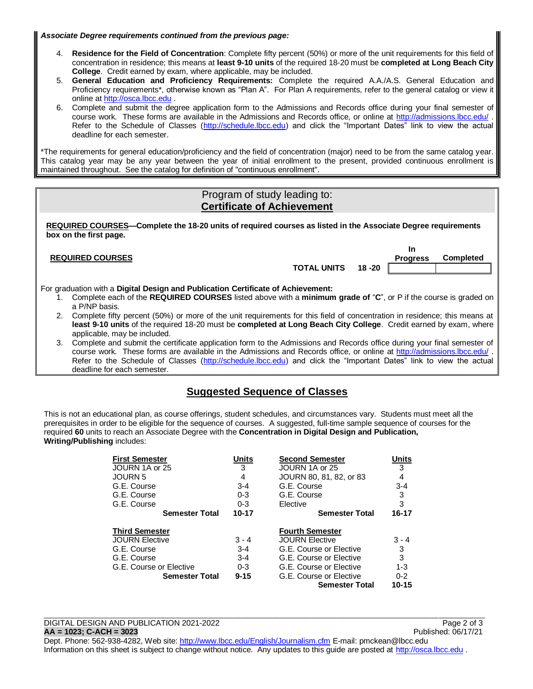*Associate Degree requirements continued from the previous page:*

- 4. **Residence for the Field of Concentration**: Complete fifty percent (50%) or more of the unit requirements for this field of concentration in residence; this means at **least 9-10 units** of the required 18-20 must be **completed at Long Beach City College**. Credit earned by exam, where applicable, may be included.
- 5. **General Education and Proficiency Requirements:** Complete the required A.A./A.S. General Education and Proficiency requirements\*, otherwise known as "Plan A". For Plan A requirements, refer to the general catalog or view it online a[t http://osca.lbcc.edu](http://osca.lbcc.edu/) .
- 6. Complete and submit the degree application form to the Admissions and Records office during your final semester of course work. These forms are available in the Admissions and Records office, or online at<http://admissions.lbcc.edu/> . Refer to the Schedule of Classes [\(http://schedule.lbcc.edu\)](http://schedule.lbcc.edu/) and click the "Important Dates" link to view the actual deadline for each semester.

\*The requirements for general education/proficiency and the field of concentration (major) need to be from the same catalog year. This catalog year may be any year between the year of initial enrollment to the present, provided continuous enrollment is maintained throughout. See the catalog for definition of "continuous enrollment".

## Program of study leading to: **Certificate of Achievement**

**REQUIRED COURSES—Complete the 18-20 units of required courses as listed in the Associate Degree requirements box on the first page.**

#### **REQUIRED COURSES**

**TOTAL UNITS 18 -20**

**In Progress Completed**

For graduation with a **Digital Design and Publication Certificate of Achievement:**

- 1. Complete each of the **REQUIRED COURSES** listed above with a **minimum grade of** "**C**", or P if the course is graded on a P/NP basis.
- 2. Complete fifty percent (50%) or more of the unit requirements for this field of concentration in residence; this means at **least 9-10 units** of the required 18-20 must be **completed at Long Beach City College**. Credit earned by exam, where applicable, may be included.
- 3. Complete and submit the certificate application form to the Admissions and Records office during your final semester of course work. These forms are available in the Admissions and Records office, or online at<http://admissions.lbcc.edu/> . Refer to the Schedule of Classes [\(http://schedule.lbcc.edu\)](http://schedule.lbcc.edu/) and click the "Important Dates" link to view the actual deadline for each semester.

# **Suggested Sequence of Classes**

This is not an educational plan, as course offerings, student schedules, and circumstances vary. Students must meet all the prerequisites in order to be eligible for the sequence of courses. A suggested, full-time sample sequence of courses for the required **60** units to reach an Associate Degree with the **Concentration in Digital Design and Publication, Writing/Publishing** includes:

| <b>First Semester</b>   | Units     | <b>Second Semester</b>  | <u>Units</u> |
|-------------------------|-----------|-------------------------|--------------|
| JOURN 1A or 25          | 3         | JOURN 1A or 25          | 3            |
| <b>JOURN 5</b>          | 4         | JOURN 80, 81, 82, or 83 | 4            |
| G.E. Course             | $3 - 4$   | G.E. Course             | $3 - 4$      |
| G.E. Course             | $0 - 3$   | G.E. Course             | 3            |
| G.E. Course             | $0 - 3$   | Elective                | 3            |
| <b>Semester Total</b>   | $10 - 17$ | <b>Semester Total</b>   | 16-17        |
|                         |           |                         |              |
| <b>Third Semester</b>   |           | <b>Fourth Semester</b>  |              |
| <b>JOURN Elective</b>   | $3 - 4$   | <b>JOURN Elective</b>   | $3 - 4$      |
| G.E. Course             | $3 - 4$   | G.E. Course or Elective | 3            |
| G.E. Course             | $3 - 4$   | G.E. Course or Elective | 3            |
| G.E. Course or Elective | $0 - 3$   | G.E. Course or Elective | $1 - 3$      |
| <b>Semester Total</b>   | $9 - 15$  | G.E. Course or Elective | $0 - 2$      |